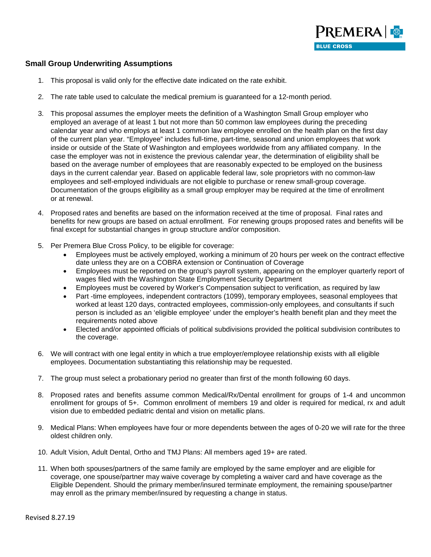

## **Small Group Underwriting Assumptions**

- 1. This proposal is valid only for the effective date indicated on the rate exhibit.
- 2. The rate table used to calculate the medical premium is guaranteed for a 12-month period.
- 3. This proposal assumes the employer meets the definition of a Washington Small Group employer who employed an average of at least 1 but not more than 50 common law employees during the preceding calendar year and who employs at least 1 common law employee enrolled on the health plan on the first day of the current plan year. "Employee" includes full-time, part-time, seasonal and union employees that work inside or outside of the State of Washington and employees worldwide from any affiliated company. In the case the employer was not in existence the previous calendar year, the determination of eligibility shall be based on the average number of employees that are reasonably expected to be employed on the business days in the current calendar year. Based on applicable federal law, sole proprietors with no common-law employees and self-employed individuals are not eligible to purchase or renew small-group coverage. Documentation of the groups eligibility as a small group employer may be required at the time of enrollment or at renewal.
- 4. Proposed rates and benefits are based on the information received at the time of proposal. Final rates and benefits for new groups are based on actual enrollment. For renewing groups proposed rates and benefits will be final except for substantial changes in group structure and/or composition.
- 5. Per Premera Blue Cross Policy, to be eligible for coverage:
	- Employees must be actively employed, working a minimum of 20 hours per week on the contract effective date unless they are on a COBRA extension or Continuation of Coverage
	- Employees must be reported on the group's payroll system, appearing on the employer quarterly report of wages filed with the Washington State Employment Security Department
	- Employees must be covered by Worker's Compensation subject to verification, as required by law
	- Part -time employees, independent contractors (1099), temporary employees, seasonal employees that worked at least 120 days, contracted employees, commission-only employees, and consultants if such person is included as an 'eligible employee' under the employer's health benefit plan and they meet the requirements noted above
	- Elected and/or appointed officials of political subdivisions provided the political subdivision contributes to the coverage.
- 6. We will contract with one legal entity in which a true employer/employee relationship exists with all eligible employees. Documentation substantiating this relationship may be requested.
- 7. The group must select a probationary period no greater than first of the month following 60 days.
- 8. Proposed rates and benefits assume common Medical/Rx/Dental enrollment for groups of 1-4 and uncommon enrollment for groups of 5+. Common enrollment of members 19 and older is required for medical, rx and adult vision due to embedded pediatric dental and vision on metallic plans.
- 9. Medical Plans: When employees have four or more dependents between the ages of 0-20 we will rate for the three oldest children only.
- 10. Adult Vision, Adult Dental, Ortho and TMJ Plans: All members aged 19+ are rated.
- 11. When both spouses/partners of the same family are employed by the same employer and are eligible for coverage, one spouse/partner may waive coverage by completing a waiver card and have coverage as the Eligible Dependent. Should the primary member/insured terminate employment, the remaining spouse/partner may enroll as the primary member/insured by requesting a change in status.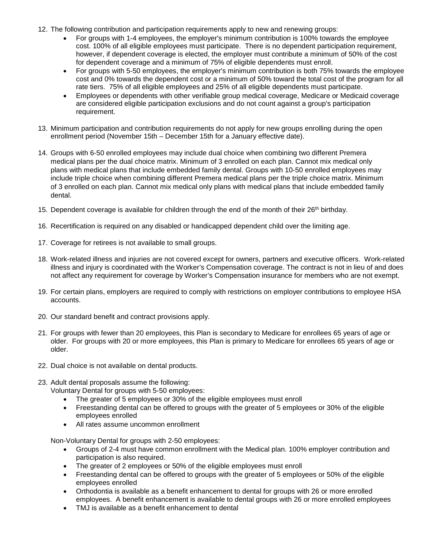- 12. The following contribution and participation requirements apply to new and renewing groups:
	- For groups with 1-4 employees, the employer's minimum contribution is 100% towards the employee cost. 100% of all eligible employees must participate. There is no dependent participation requirement, however, if dependent coverage is elected, the employer must contribute a minimum of 50% of the cost for dependent coverage and a minimum of 75% of eligible dependents must enroll.
	- For groups with 5-50 employees, the employer's minimum contribution is both 75% towards the employee cost and 0% towards the dependent cost or a minimum of 50% toward the total cost of the program for all rate tiers. 75% of all eligible employees and 25% of all eligible dependents must participate.
	- Employees or dependents with other verifiable group medical coverage, Medicare or Medicaid coverage are considered eligible participation exclusions and do not count against a group's participation requirement.
- 13. Minimum participation and contribution requirements do not apply for new groups enrolling during the open enrollment period (November 15th – December 15th for a January effective date).
- 14. Groups with 6-50 enrolled employees may include dual choice when combining two different Premera medical plans per the dual choice matrix. Minimum of 3 enrolled on each plan. Cannot mix medical only plans with medical plans that include embedded family dental. Groups with 10-50 enrolled employees may include triple choice when combining different Premera medical plans per the triple choice matrix. Minimum of 3 enrolled on each plan. Cannot mix medical only plans with medical plans that include embedded family dental.
- 15. Dependent coverage is available for children through the end of the month of their 26<sup>th</sup> birthday.
- 16. Recertification is required on any disabled or handicapped dependent child over the limiting age.
- 17. Coverage for retirees is not available to small groups.
- 18. Work-related illness and injuries are not covered except for owners, partners and executive officers. Work-related illness and injury is coordinated with the Worker's Compensation coverage. The contract is not in lieu of and does not affect any requirement for coverage by Worker's Compensation insurance for members who are not exempt.
- 19. For certain plans, employers are required to comply with restrictions on employer contributions to employee HSA accounts.
- 20. Our standard benefit and contract provisions apply.
- 21. For groups with fewer than 20 employees, this Plan is secondary to Medicare for enrollees 65 years of age or older. For groups with 20 or more employees, this Plan is primary to Medicare for enrollees 65 years of age or older.
- 22. Dual choice is not available on dental products.
- 23. Adult dental proposals assume the following:
	- Voluntary Dental for groups with 5-50 employees:
		- The greater of 5 employees or 30% of the eligible employees must enroll
		- Freestanding dental can be offered to groups with the greater of 5 employees or 30% of the eligible employees enrolled
		- All rates assume uncommon enrollment

Non-Voluntary Dental for groups with 2-50 employees:

- Groups of 2-4 must have common enrollment with the Medical plan. 100% employer contribution and participation is also required.
- The greater of 2 employees or 50% of the eligible employees must enroll
- Freestanding dental can be offered to groups with the greater of 5 employees or 50% of the eligible employees enrolled
- Orthodontia is available as a benefit enhancement to dental for groups with 26 or more enrolled employees. A benefit enhancement is available to dental groups with 26 or more enrolled employees
- TMJ is available as a benefit enhancement to dental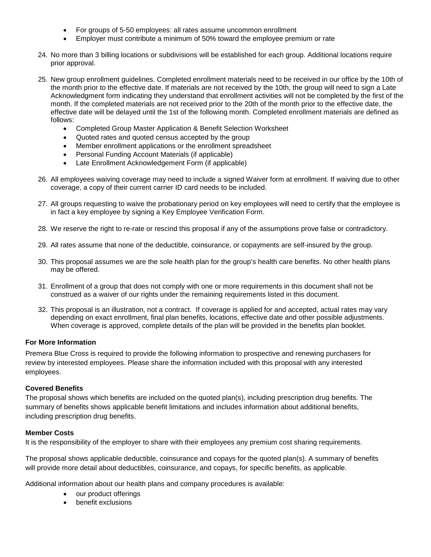- For groups of 5-50 employees: all rates assume uncommon enrollment
- Employer must contribute a minimum of 50% toward the employee premium or rate
- 24. No more than 3 billing locations or subdivisions will be established for each group. Additional locations require prior approval.
- 25. New group enrollment guidelines. Completed enrollment materials need to be received in our office by the 10th of the month prior to the effective date. If materials are not received by the 10th, the group will need to sign a Late Acknowledgment form indicating they understand that enrollment activities will not be completed by the first of the month. If the completed materials are not received prior to the 20th of the month prior to the effective date, the effective date will be delayed until the 1st of the following month. Completed enrollment materials are defined as follows:
	- Completed Group Master Application & Benefit Selection Worksheet
	- Quoted rates and quoted census accepted by the group
	- Member enrollment applications or the enrollment spreadsheet
	- Personal Funding Account Materials (if applicable)
	- Late Enrollment Acknowledgement Form (if applicable)
- 26. All employees waiving coverage may need to include a signed Waiver form at enrollment. If waiving due to other coverage, a copy of their current carrier ID card needs to be included.
- 27. All groups requesting to waive the probationary period on key employees will need to certify that the employee is in fact a key employee by signing a Key Employee Verification Form.
- 28. We reserve the right to re-rate or rescind this proposal if any of the assumptions prove false or contradictory.
- 29. All rates assume that none of the deductible, coinsurance, or copayments are self-insured by the group.
- 30. This proposal assumes we are the sole health plan for the group's health care benefits. No other health plans may be offered.
- 31. Enrollment of a group that does not comply with one or more requirements in this document shall not be construed as a waiver of our rights under the remaining requirements listed in this document.
- 32. This proposal is an illustration, not a contract. If coverage is applied for and accepted, actual rates may vary depending on exact enrollment, final plan benefits, locations, effective date and other possible adjustments. When coverage is approved, complete details of the plan will be provided in the benefits plan booklet.

## **For More Information**

Premera Blue Cross is required to provide the following information to prospective and renewing purchasers for review by interested employees. Please share the information included with this proposal with any interested employees.

## **Covered Benefits**

The proposal shows which benefits are included on the quoted plan(s), including prescription drug benefits. The summary of benefits shows applicable benefit limitations and includes information about additional benefits, including prescription drug benefits.

## **Member Costs**

It is the responsibility of the employer to share with their employees any premium cost sharing requirements.

The proposal shows applicable deductible, coinsurance and copays for the quoted plan(s). A summary of benefits will provide more detail about deductibles, coinsurance, and copays, for specific benefits, as applicable.

Additional information about our health plans and company procedures is available:

- our product offerings
- benefit exclusions